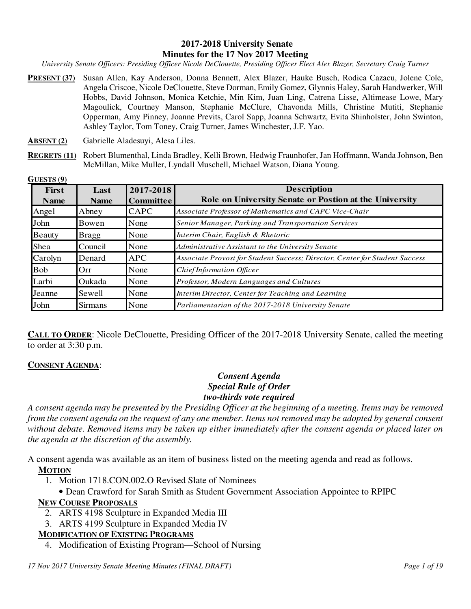### **2017-2018 University Senate Minutes for the 17 Nov 2017 Meeting**

*University Senate Officers: Presiding Officer Nicole DeClouette, Presiding Officer Elect Alex Blazer, Secretary Craig Turner* 

**PRESENT (37)** Susan Allen, Kay Anderson, Donna Bennett, Alex Blazer, Hauke Busch, Rodica Cazacu, Jolene Cole, Angela Criscoe, Nicole DeClouette, Steve Dorman, Emily Gomez, Glynnis Haley, Sarah Handwerker, Will Hobbs, David Johnson, Monica Ketchie, Min Kim, Juan Ling, Catrena Lisse, Altimease Lowe, Mary Magoulick, Courtney Manson, Stephanie McClure, Chavonda Mills, Christine Mutiti, Stephanie Opperman, Amy Pinney, Joanne Previts, Carol Sapp, Joanna Schwartz, Evita Shinholster, John Swinton, Ashley Taylor, Tom Toney, Craig Turner, James Winchester, J.F. Yao.

**ABSENT (2)** Gabrielle Aladesuyi, Alesa Liles.

**REGRETS (11)** Robert Blumenthal, Linda Bradley, Kelli Brown, Hedwig Fraunhofer, Jan Hoffmann, Wanda Johnson, Ben McMillan, Mike Muller, Lyndall Muschell, Michael Watson, Diana Young.

| GUESTS (9)   |                |                  |                                                                             |
|--------------|----------------|------------------|-----------------------------------------------------------------------------|
| <b>First</b> | Last           | 2017-2018        | <b>Description</b>                                                          |
| <b>Name</b>  | <b>Name</b>    | <b>Committee</b> | Role on University Senate or Postion at the University                      |
| Angel        | Abney          | <b>CAPC</b>      | Associate Professor of Mathematics and CAPC Vice-Chair                      |
| John         | Bowen          | None             | Senior Manager, Parking and Transportation Services                         |
| Beauty       | Bragg          | None             | Interim Chair, English & Rhetoric                                           |
| Shea         | Council        | None             | Administrative Assistant to the University Senate                           |
| Carolyn      | Denard         | <b>APC</b>       | Associate Provost for Student Success; Director, Center for Student Success |
| <b>Bob</b>   | Orr            | None             | Chief Information Officer                                                   |
| Larbi        | Oukada         | None             | Professor, Modern Languages and Cultures                                    |
| Jeanne       | Sewell         | None             | Interim Director, Center for Teaching and Learning                          |
| John         | <b>Sirmans</b> | None             | Parliamentarian of the 2017-2018 University Senate                          |

**CALL TO ORDER**: Nicole DeClouette, Presiding Officer of the 2017-2018 University Senate, called the meeting to order at 3:30 p.m.

#### **CONSENT AGENDA**:

### *Consent Agenda Special Rule of Order two-thirds vote required*

*A consent agenda may be presented by the Presiding Officer at the beginning of a meeting. Items may be removed from the consent agenda on the request of any one member. Items not removed may be adopted by general consent without debate. Removed items may be taken up either immediately after the consent agenda or placed later on the agenda at the discretion of the assembly.* 

A consent agenda was available as an item of business listed on the meeting agenda and read as follows. **MOTION**

- 1. Motion 1718.CON.002.O Revised Slate of Nominees
	- Dean Crawford for Sarah Smith as Student Government Association Appointee to RPIPC

#### **NEW COURSE PROPOSALS**

- 2. ARTS 4198 Sculpture in Expanded Media III
- 3. ARTS 4199 Sculpture in Expanded Media IV

#### **MODIFICATION OF EXISTING PROGRAMS**

4. Modification of Existing Program—School of Nursing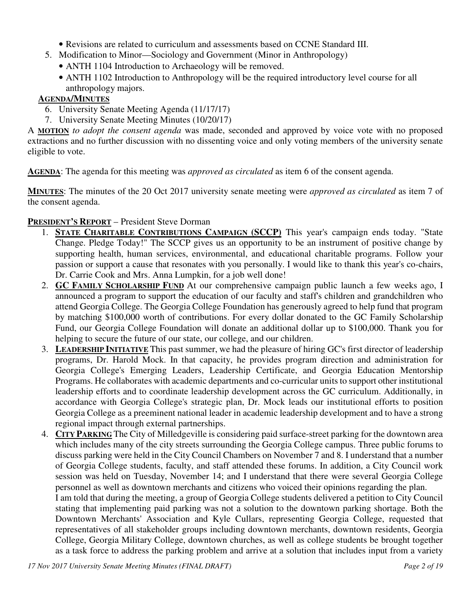- Revisions are related to curriculum and assessments based on CCNE Standard III.
- 5. Modification to Minor—Sociology and Government (Minor in Anthropology)
	- ANTH 1104 Introduction to Archaeology will be removed.
	- ANTH 1102 Introduction to Anthropology will be the required introductory level course for all anthropology majors.

### **AGENDA/MINUTES**

- 6. University Senate Meeting Agenda (11/17/17)
- 7. University Senate Meeting Minutes (10/20/17)

A **MOTION** *to adopt the consent agenda* was made, seconded and approved by voice vote with no proposed extractions and no further discussion with no dissenting voice and only voting members of the university senate eligible to vote.

**AGENDA**: The agenda for this meeting was *approved as circulated* as item 6 of the consent agenda.

**MINUTES**: The minutes of the 20 Oct 2017 university senate meeting were *approved as circulated* as item 7 of the consent agenda.

#### **PRESIDENT'S REPORT** – President Steve Dorman

- 1. **STATE CHARITABLE CONTRIBUTIONS CAMPAIGN (SCCP)** This year's campaign ends today. "State Change. Pledge Today!" The SCCP gives us an opportunity to be an instrument of positive change by supporting health, human services, environmental, and educational charitable programs. Follow your passion or support a cause that resonates with you personally. I would like to thank this year's co-chairs, Dr. Carrie Cook and Mrs. Anna Lumpkin, for a job well done!
- 2. **GC FAMILY SCHOLARSHIP FUND** At our comprehensive campaign public launch a few weeks ago, I announced a program to support the education of our faculty and staff's children and grandchildren who attend Georgia College. The Georgia College Foundation has generously agreed to help fund that program by matching \$100,000 worth of contributions. For every dollar donated to the GC Family Scholarship Fund, our Georgia College Foundation will donate an additional dollar up to \$100,000. Thank you for helping to secure the future of our state, our college, and our children.
- 3. **LEADERSHIP INITIATIVE** This past summer, we had the pleasure of hiring GC's first director of leadership programs, Dr. Harold Mock. In that capacity, he provides program direction and administration for Georgia College's Emerging Leaders, Leadership Certificate, and Georgia Education Mentorship Programs. He collaborates with academic departments and co-curricular units to support other institutional leadership efforts and to coordinate leadership development across the GC curriculum. Additionally, in accordance with Georgia College's strategic plan, Dr. Mock leads our institutional efforts to position Georgia College as a preeminent national leader in academic leadership development and to have a strong regional impact through external partnerships.
- 4. **CITY PARKING** The City of Milledgeville is considering paid surface-street parking for the downtown area which includes many of the city streets surrounding the Georgia College campus. Three public forums to discuss parking were held in the City Council Chambers on November 7 and 8. I understand that a number of Georgia College students, faculty, and staff attended these forums. In addition, a City Council work session was held on Tuesday, November 14; and I understand that there were several Georgia College personnel as well as downtown merchants and citizens who voiced their opinions regarding the plan. I am told that during the meeting, a group of Georgia College students delivered a petition to City Council

stating that implementing paid parking was not a solution to the downtown parking shortage. Both the Downtown Merchants' Association and Kyle Cullars, representing Georgia College, requested that representatives of all stakeholder groups including downtown merchants, downtown residents, Georgia College, Georgia Military College, downtown churches, as well as college students be brought together as a task force to address the parking problem and arrive at a solution that includes input from a variety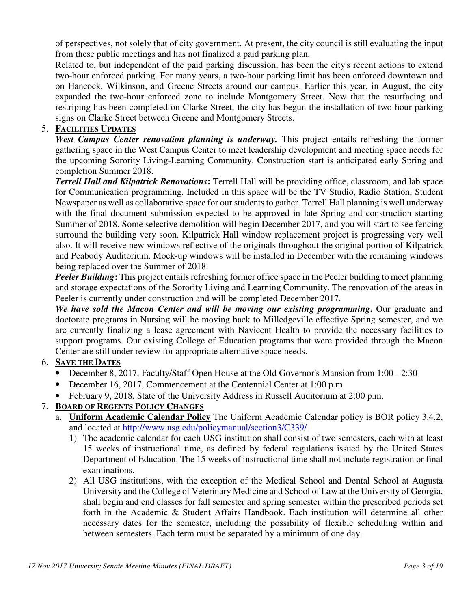of perspectives, not solely that of city government. At present, the city council is still evaluating the input from these public meetings and has not finalized a paid parking plan.

Related to, but independent of the paid parking discussion, has been the city's recent actions to extend two-hour enforced parking. For many years, a two-hour parking limit has been enforced downtown and on Hancock, Wilkinson, and Greene Streets around our campus. Earlier this year, in August, the city expanded the two-hour enforced zone to include Montgomery Street. Now that the resurfacing and restriping has been completed on Clarke Street, the city has begun the installation of two-hour parking signs on Clarke Street between Greene and Montgomery Streets.

### 5. **FACILITIES UPDATES**

*West Campus Center renovation planning is underway.* This project entails refreshing the former gathering space in the West Campus Center to meet leadership development and meeting space needs for the upcoming Sorority Living-Learning Community. Construction start is anticipated early Spring and completion Summer 2018.

*Terrell Hall and Kilpatrick Renovations***:** Terrell Hall will be providing office, classroom, and lab space for Communication programming. Included in this space will be the TV Studio, Radio Station, Student Newspaper as well as collaborative space for our students to gather. Terrell Hall planning is well underway with the final document submission expected to be approved in late Spring and construction starting Summer of 2018. Some selective demolition will begin December 2017, and you will start to see fencing surround the building very soon. Kilpatrick Hall window replacement project is progressing very well also. It will receive new windows reflective of the originals throughout the original portion of Kilpatrick and Peabody Auditorium. Mock-up windows will be installed in December with the remaining windows being replaced over the Summer of 2018.

*Peeler Building***:** This project entails refreshing former office space in the Peeler building to meet planning and storage expectations of the Sorority Living and Learning Community. The renovation of the areas in Peeler is currently under construction and will be completed December 2017.

*We have sold the Macon Center and will be moving our existing programming***.** Our graduate and doctorate programs in Nursing will be moving back to Milledgeville effective Spring semester, and we are currently finalizing a lease agreement with Navicent Health to provide the necessary facilities to support programs. Our existing College of Education programs that were provided through the Macon Center are still under review for appropriate alternative space needs.

### 6. **SAVE THE DATES**

- December 8, 2017, Faculty/Staff Open House at the Old Governor's Mansion from 1:00 2:30
- December 16, 2017, Commencement at the Centennial Center at 1:00 p.m.
- February 9, 2018, State of the University Address in Russell Auditorium at 2:00 p.m.
- 7. **BOARD OF REGENTS POLICY CHANGES**
	- a. **Uniform Academic Calendar Policy** The Uniform Academic Calendar policy is BOR policy 3.4.2, and located at http://www.usg.edu/policymanual/section3/C339/
		- 1) The academic calendar for each USG institution shall consist of two semesters, each with at least 15 weeks of instructional time, as defined by federal regulations issued by the United States Department of Education. The 15 weeks of instructional time shall not include registration or final examinations.
		- 2) All USG institutions, with the exception of the Medical School and Dental School at Augusta University and the College of Veterinary Medicine and School of Law at the University of Georgia, shall begin and end classes for fall semester and spring semester within the prescribed periods set forth in the Academic & Student Affairs Handbook. Each institution will determine all other necessary dates for the semester, including the possibility of flexible scheduling within and between semesters. Each term must be separated by a minimum of one day.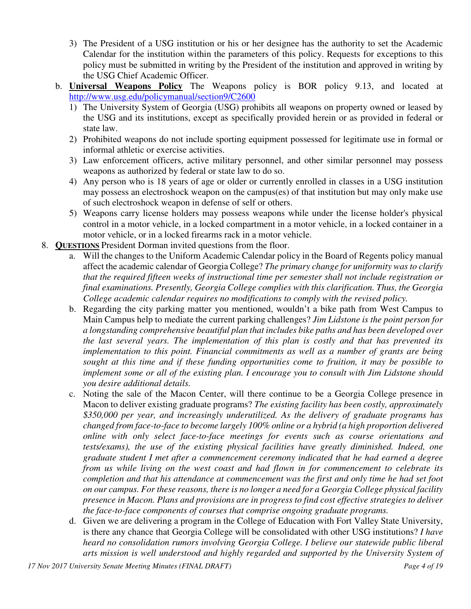- 3) The President of a USG institution or his or her designee has the authority to set the Academic Calendar for the institution within the parameters of this policy. Requests for exceptions to this policy must be submitted in writing by the President of the institution and approved in writing by the USG Chief Academic Officer.
- b. **Universal Weapons Policy** The Weapons policy is BOR policy 9.13, and located at http://www.usg.edu/policymanual/section9/C2600
	- 1) The University System of Georgia (USG) prohibits all weapons on property owned or leased by the USG and its institutions, except as specifically provided herein or as provided in federal or state law.
	- 2) Prohibited weapons do not include sporting equipment possessed for legitimate use in formal or informal athletic or exercise activities.
	- 3) Law enforcement officers, active military personnel, and other similar personnel may possess weapons as authorized by federal or state law to do so.
	- 4) Any person who is 18 years of age or older or currently enrolled in classes in a USG institution may possess an electroshock weapon on the campus(es) of that institution but may only make use of such electroshock weapon in defense of self or others.
	- 5) Weapons carry license holders may possess weapons while under the license holder's physical control in a motor vehicle, in a locked compartment in a motor vehicle, in a locked container in a motor vehicle, or in a locked firearms rack in a motor vehicle.
- 8. **QUESTIONS** President Dorman invited questions from the floor.
	- a. Will the changes to the Uniform Academic Calendar policy in the Board of Regents policy manual affect the academic calendar of Georgia College? *The primary change for uniformity was to clarify that the required fifteen weeks of instructional time per semester shall not include registration or final examinations. Presently, Georgia College complies with this clarification. Thus, the Georgia College academic calendar requires no modifications to comply with the revised policy.*
	- b. Regarding the city parking matter you mentioned, wouldn't a bike path from West Campus to Main Campus help to mediate the current parking challenges? *Jim Lidstone is the point person for a longstanding comprehensive beautiful plan that includes bike paths and has been developed over the last several years. The implementation of this plan is costly and that has prevented its implementation to this point. Financial commitments as well as a number of grants are being sought at this time and if these funding opportunities come to fruition, it may be possible to implement some or all of the existing plan. I encourage you to consult with Jim Lidstone should you desire additional details.*
	- c. Noting the sale of the Macon Center, will there continue to be a Georgia College presence in Macon to deliver existing graduate programs? *The existing facility has been costly, approximately \$350,000 per year, and increasingly underutilized. As the delivery of graduate programs has changed from face-to-face to become largely 100% online or a hybrid (a high proportion delivered online with only select face-to-face meetings for events such as course orientations and tests/exams), the use of the existing physical facilities have greatly diminished. Indeed, one graduate student I met after a commencement ceremony indicated that he had earned a degree from us while living on the west coast and had flown in for commencement to celebrate its completion and that his attendance at commencement was the first and only time he had set foot on our campus. For these reasons, there is no longer a need for a Georgia College physical facility presence in Macon. Plans and provisions are in progress to find cost effective strategies to deliver the face-to-face components of courses that comprise ongoing graduate programs.*
	- d. Given we are delivering a program in the College of Education with Fort Valley State University, is there any chance that Georgia College will be consolidated with other USG institutions? *I have heard no consolidation rumors involving Georgia College. I believe our statewide public liberal arts mission is well understood and highly regarded and supported by the University System of*

*17 Nov 2017 University Senate Meeting Minutes (FINAL DRAFT) Page 4 of 19*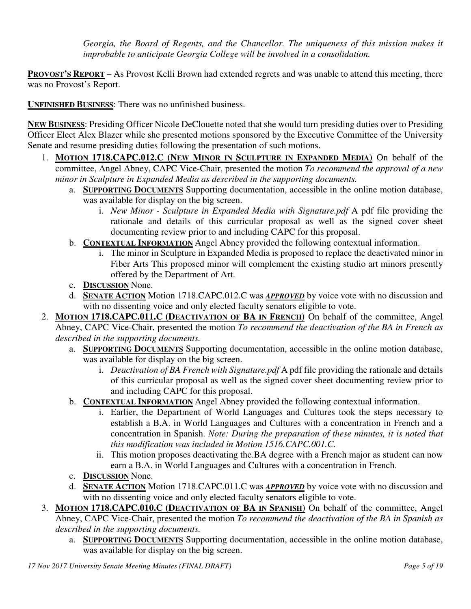*Georgia, the Board of Regents, and the Chancellor. The uniqueness of this mission makes it improbable to anticipate Georgia College will be involved in a consolidation.*

**PROVOST'S REPORT** – As Provost Kelli Brown had extended regrets and was unable to attend this meeting, there was no Provost's Report.

**UNFINISHED BUSINESS**: There was no unfinished business.

**NEW BUSINESS**: Presiding Officer Nicole DeClouette noted that she would turn presiding duties over to Presiding Officer Elect Alex Blazer while she presented motions sponsored by the Executive Committee of the University Senate and resume presiding duties following the presentation of such motions.

- 1. **MOTION 1718.CAPC.012.C (NEW MINOR IN SCULPTURE IN EXPANDED MEDIA)** On behalf of the committee, Angel Abney, CAPC Vice-Chair, presented the motion *To recommend the approval of a new minor in Sculpture in Expanded Media as described in the supporting documents.*
	- a. **SUPPORTING DOCUMENTS** Supporting documentation, accessible in the online motion database, was available for display on the big screen.
		- i. *New Minor Sculpture in Expanded Media with Signature.pdf* A pdf file providing the rationale and details of this curricular proposal as well as the signed cover sheet documenting review prior to and including CAPC for this proposal.
	- b. **CONTEXTUAL INFORMATION** Angel Abney provided the following contextual information.
		- i. The minor in Sculpture in Expanded Media is proposed to replace the deactivated minor in Fiber Arts This proposed minor will complement the existing studio art minors presently offered by the Department of Art.
	- c. **DISCUSSION** None.
	- d. **SENATE ACTION** Motion 1718.CAPC.012.C was *APPROVED* by voice vote with no discussion and with no dissenting voice and only elected faculty senators eligible to vote.
- 2. **MOTION 1718.CAPC.011.C (DEACTIVATION OF BA IN FRENCH)** On behalf of the committee, Angel Abney, CAPC Vice-Chair, presented the motion *To recommend the deactivation of the BA in French as described in the supporting documents.*
	- a. **SUPPORTING DOCUMENTS** Supporting documentation, accessible in the online motion database, was available for display on the big screen.
		- i. *Deactivation of BA French with Signature.pdf* A pdf file providing the rationale and details of this curricular proposal as well as the signed cover sheet documenting review prior to and including CAPC for this proposal.
	- b. **CONTEXTUAL INFORMATION** Angel Abney provided the following contextual information.
		- i. Earlier, the Department of World Languages and Cultures took the steps necessary to establish a B.A. in World Languages and Cultures with a concentration in French and a concentration in Spanish. *Note: During the preparation of these minutes, it is noted that this modification was included in Motion 1516.CAPC.001.C.*
		- ii. This motion proposes deactivating the.BA degree with a French major as student can now earn a B.A. in World Languages and Cultures with a concentration in French.
	- c. **DISCUSSION** None.
	- d. **SENATE ACTION** Motion 1718.CAPC.011.C was *APPROVED* by voice vote with no discussion and with no dissenting voice and only elected faculty senators eligible to vote.
- 3. **MOTION 1718.CAPC.010.C (DEACTIVATION OF BA IN SPANISH)** On behalf of the committee, Angel Abney, CAPC Vice-Chair, presented the motion *To recommend the deactivation of the BA in Spanish as described in the supporting documents.*
	- a. **SUPPORTING DOCUMENTS** Supporting documentation, accessible in the online motion database, was available for display on the big screen.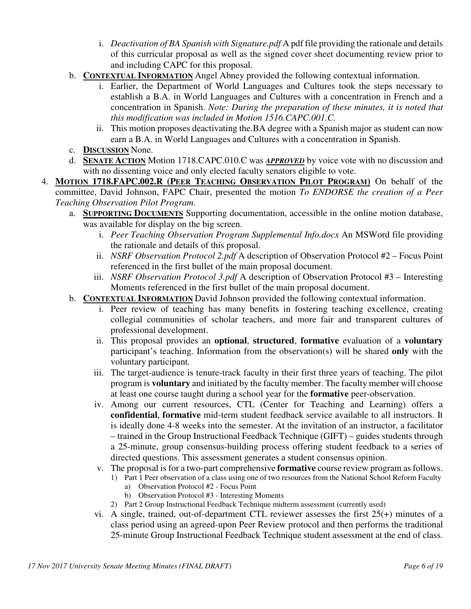- i. *Deactivation of BA Spanish with Signature.pdf* A pdf file providing the rationale and details of this curricular proposal as well as the signed cover sheet documenting review prior to and including CAPC for this proposal.
- b. **CONTEXTUAL INFORMATION** Angel Abney provided the following contextual information.
	- i. Earlier, the Department of World Languages and Cultures took the steps necessary to establish a B.A. in World Languages and Cultures with a concentration in French and a concentration in Spanish. *Note: During the preparation of these minutes, it is noted that this modification was included in Motion 1516.CAPC.001.C.*
	- ii. This motion proposes deactivating the.BA degree with a Spanish major as student can now earn a B.A. in World Languages and Cultures with a concentration in Spanish.
- c. **DISCUSSION** None.
- d. **SENATE ACTION** Motion 1718.CAPC.010.C was *APPROVED* by voice vote with no discussion and with no dissenting voice and only elected faculty senators eligible to vote.
- 4. **MOTION 1718.FAPC.002.R (PEER TEACHING OBSERVATION PILOT PROGRAM)** On behalf of the committee, David Johnson, FAPC Chair, presented the motion *To ENDORSE the creation of a Peer Teaching Observation Pilot Program.*
	- a. **SUPPORTING DOCUMENTS** Supporting documentation, accessible in the online motion database, was available for display on the big screen.
		- i. *Peer Teaching Observation Program Supplemental Info.docx* An MSWord file providing the rationale and details of this proposal.
		- ii. *NSRF Observation Protocol 2.pdf* A description of Observation Protocol #2 Focus Point referenced in the first bullet of the main proposal document.
		- iii. *NSRF Observation Protocol 3.pdf* A description of Observation Protocol #3 Interesting Moments referenced in the first bullet of the main proposal document.
	- b. **CONTEXTUAL INFORMATION** David Johnson provided the following contextual information.
		- i. Peer review of teaching has many benefits in fostering teaching excellence, creating collegial communities of scholar teachers, and more fair and transparent cultures of professional development.
		- ii. This proposal provides an **optional**, **structured**, **formative** evaluation of a **voluntary** participant's teaching. Information from the observation(s) will be shared **only** with the voluntary participant*.*
		- iii. The target-audience is tenure-track faculty in their first three years of teaching. The pilot program is **voluntary** and initiated by the faculty member. The faculty member will choose at least one course taught during a school year for the **formative** peer-observation.
		- iv. Among our current resources, CTL (Center for Teaching and Learning) offers a **confidential**, **formative** mid-term student feedback service available to all instructors. It is ideally done 4-8 weeks into the semester. At the invitation of an instructor, a facilitator – trained in the Group Instructional Feedback Technique (GIFT) – guides students through a 25-minute, group consensus-building process offering student feedback to a series of directed questions. This assessment generates a student consensus opinion.
		- v. The proposal is for a two-part comprehensive **formative** course review program as follows.
			- 1) Part 1 Peer observation of a class using one of two resources from the National School Reform Faculty a) Observation Protocol #2 - Focus Point
				- b) Observation Protocol #3 Interesting Moments
			- 2) Part 2 Group Instructional Feedback Technique midterm assessment (currently used)
		- vi. A single, trained, out-of-department CTL reviewer assesses the first 25(+) minutes of a class period using an agreed-upon Peer Review protocol and then performs the traditional 25-minute Group Instructional Feedback Technique student assessment at the end of class.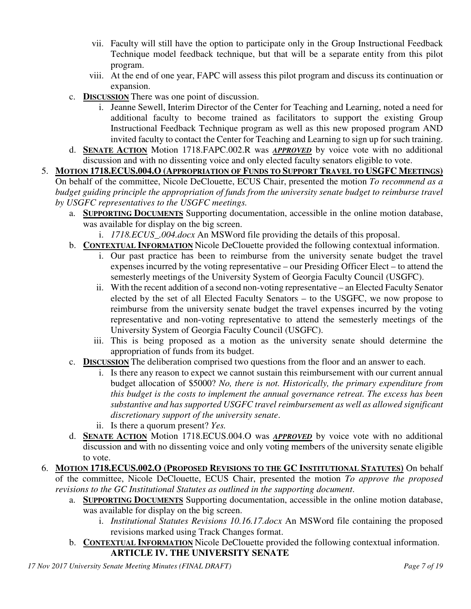- vii. Faculty will still have the option to participate only in the Group Instructional Feedback Technique model feedback technique, but that will be a separate entity from this pilot program.
- viii. At the end of one year, FAPC will assess this pilot program and discuss its continuation or expansion.
- c. **DISCUSSION** There was one point of discussion.
	- i. Jeanne Sewell, Interim Director of the Center for Teaching and Learning, noted a need for additional faculty to become trained as facilitators to support the existing Group Instructional Feedback Technique program as well as this new proposed program AND invited faculty to contact the Center for Teaching and Learning to sign up for such training.
- d. **SENATE ACTION** Motion 1718.FAPC.002.R was *APPROVED* by voice vote with no additional discussion and with no dissenting voice and only elected faculty senators eligible to vote.
- 5. **MOTION 1718.ECUS.004.O (APPROPRIATION OF FUNDS TO SUPPORT TRAVEL TO USGFC MEETINGS)** On behalf of the committee, Nicole DeClouette, ECUS Chair, presented the motion *To recommend as a budget guiding principle the appropriation of funds from the university senate budget to reimburse travel by USGFC representatives to the USGFC meetings.*
	- a. **SUPPORTING DOCUMENTS** Supporting documentation, accessible in the online motion database, was available for display on the big screen.
		- i. *1718.ECUS\_.004.docx* An MSWord file providing the details of this proposal.
	- b. **CONTEXTUAL INFORMATION** Nicole DeClouette provided the following contextual information.
		- i. Our past practice has been to reimburse from the university senate budget the travel expenses incurred by the voting representative – our Presiding Officer Elect – to attend the semesterly meetings of the University System of Georgia Faculty Council (USGFC).
		- ii. With the recent addition of a second non-voting representative an Elected Faculty Senator elected by the set of all Elected Faculty Senators – to the USGFC, we now propose to reimburse from the university senate budget the travel expenses incurred by the voting representative and non-voting representative to attend the semesterly meetings of the University System of Georgia Faculty Council (USGFC).
		- iii. This is being proposed as a motion as the university senate should determine the appropriation of funds from its budget.
	- c. **DISCUSSION** The deliberation comprised two questions from the floor and an answer to each.
		- i. Is there any reason to expect we cannot sustain this reimbursement with our current annual budget allocation of \$5000? *No, there is not. Historically, the primary expenditure from this budget is the costs to implement the annual governance retreat. The excess has been substantive and has supported USGFC travel reimbursement as well as allowed significant discretionary support of the university senate*.
		- ii. Is there a quorum present? *Yes.*
	- d. **SENATE ACTION** Motion 1718.ECUS.004.O was *APPROVED* by voice vote with no additional discussion and with no dissenting voice and only voting members of the university senate eligible to vote.
- 6. **MOTION 1718.ECUS.002.O (PROPOSED REVISIONS TO THE GC INSTITUTIONAL STATUTES)** On behalf of the committee, Nicole DeClouette, ECUS Chair, presented the motion *To approve the proposed revisions to the GC Institutional Statutes as outlined in the supporting document*.
	- a. **SUPPORTING DOCUMENTS** Supporting documentation, accessible in the online motion database, was available for display on the big screen.
		- i. *Institutional Statutes Revisions 10.16.17.docx* An MSWord file containing the proposed revisions marked using Track Changes format.
	- b. **CONTEXTUAL INFORMATION** Nicole DeClouette provided the following contextual information. **ARTICLE IV. THE UNIVERSITY SENATE**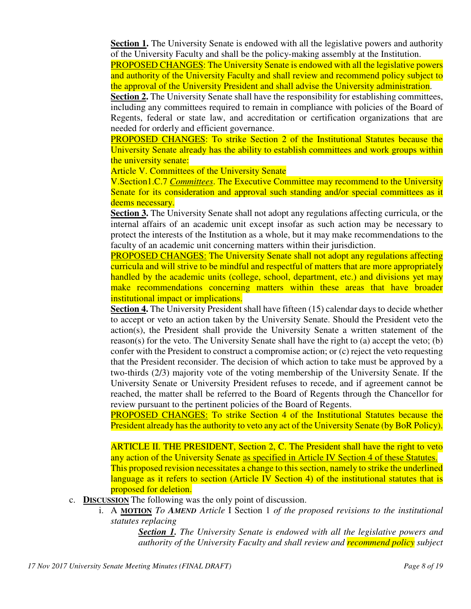**Section 1.** The University Senate is endowed with all the legislative powers and authority of the University Faculty and shall be the policy-making assembly at the Institution.

PROPOSED CHANGES: The University Senate is endowed with all the legislative powers and authority of the University Faculty and shall review and recommend policy subject to the approval of the University President and shall advise the University administration.

**Section 2.** The University Senate shall have the responsibility for establishing committees, including any committees required to remain in compliance with policies of the Board of Regents, federal or state law, and accreditation or certification organizations that are needed for orderly and efficient governance.

PROPOSED CHANGES: To strike Section 2 of the Institutional Statutes because the University Senate already has the ability to establish committees and work groups within the university senate:

Article V. Committees of the University Senate

V.Section1.C.7 *Committees*. The Executive Committee may recommend to the University Senate for its consideration and approval such standing and/or special committees as it deems necessary.

**Section 3.** The University Senate shall not adopt any regulations affecting curricula, or the internal affairs of an academic unit except insofar as such action may be necessary to protect the interests of the Institution as a whole, but it may make recommendations to the faculty of an academic unit concerning matters within their jurisdiction.

PROPOSED CHANGES: The University Senate shall not adopt any regulations affecting curricula and will strive to be mindful and respectful of matters that are more appropriately handled by the academic units (college, school, department, etc.) and divisions yet may make recommendations concerning matters within these areas that have broader institutional impact or implications.

**Section 4.** The University President shall have fifteen (15) calendar days to decide whether to accept or veto an action taken by the University Senate. Should the President veto the action(s), the President shall provide the University Senate a written statement of the reason(s) for the veto. The University Senate shall have the right to (a) accept the veto; (b) confer with the President to construct a compromise action; or (c) reject the veto requesting that the President reconsider. The decision of which action to take must be approved by a two-thirds (2/3) majority vote of the voting membership of the University Senate. If the University Senate or University President refuses to recede, and if agreement cannot be reached, the matter shall be referred to the Board of Regents through the Chancellor for review pursuant to the pertinent policies of the Board of Regents.

PROPOSED CHANGES: To strike Section 4 of the Institutional Statutes because the President already has the authority to veto any act of the University Senate (by BoR Policy).

ARTICLE II. THE PRESIDENT, Section 2, C. The President shall have the right to veto any action of the University Senate as specified in Article IV Section 4 of these Statutes. This proposed revision necessitates a change to this section, namely to strike the underlined language as it refers to section (Article IV Section 4) of the institutional statutes that is proposed for deletion.

- c. **DISCUSSION** The following was the only point of discussion.
	- i. A **MOTION** *To AMEND Article* I Section 1 *of the proposed revisions to the institutional statutes replacing*

*Section 1. The University Senate is endowed with all the legislative powers and authority of the University Faculty and shall review and recommend policy subject*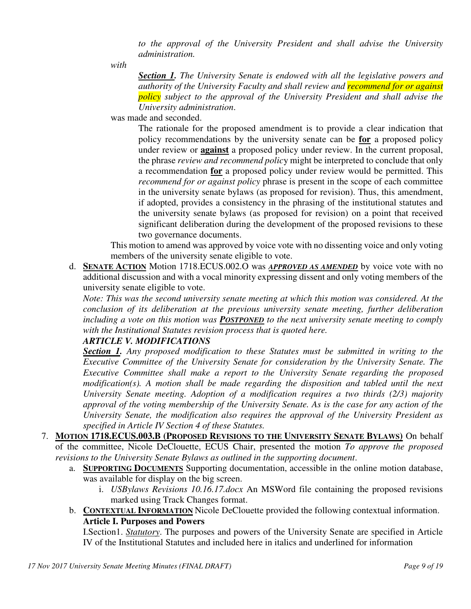*to the approval of the University President and shall advise the University administration.* 

*with* 

*Section 1. The University Senate is endowed with all the legislative powers and authority of the University Faculty and shall review and recommend for or against policy subject to the approval of the University President and shall advise the University administration*.

was made and seconded.

The rationale for the proposed amendment is to provide a clear indication that policy recommendations by the university senate can be **for** a proposed policy under review or **against** a proposed policy under review. In the current proposal, the phrase *review and recommend polic*y might be interpreted to conclude that only a recommendation **for** a proposed policy under review would be permitted. This *recommend for or against policy* phrase is present in the scope of each committee in the university senate bylaws (as proposed for revision). Thus, this amendment, if adopted, provides a consistency in the phrasing of the institutional statutes and the university senate bylaws (as proposed for revision) on a point that received significant deliberation during the development of the proposed revisions to these two governance documents.

This motion to amend was approved by voice vote with no dissenting voice and only voting members of the university senate eligible to vote.

d. **SENATE ACTION** Motion 1718.ECUS.002.O was *APPROVED AS AMENDED* by voice vote with no additional discussion and with a vocal minority expressing dissent and only voting members of the university senate eligible to vote.

*Note: This was the second university senate meeting at which this motion was considered. At the conclusion of its deliberation at the previous university senate meeting, further deliberation including a vote on this motion was POSTPONED to the next university senate meeting to comply with the Institutional Statutes revision process that is quoted here.* 

### *ARTICLE V. MODIFICATIONS*

*Section 1. Any proposed modification to these Statutes must be submitted in writing to the Executive Committee of the University Senate for consideration by the University Senate. The Executive Committee shall make a report to the University Senate regarding the proposed modification(s). A motion shall be made regarding the disposition and tabled until the next University Senate meeting. Adoption of a modification requires a two thirds (2/3) majority approval of the voting membership of the University Senate. As is the case for any action of the University Senate, the modification also requires the approval of the University President as specified in Article IV Section 4 of these Statutes.*

- 7. **MOTION 1718.ECUS.003.B (PROPOSED REVISIONS TO THE UNIVERSITY SENATE BYLAWS)** On behalf of the committee, Nicole DeClouette, ECUS Chair, presented the motion *To approve the proposed revisions to the University Senate Bylaws as outlined in the supporting document*.
	- a. **SUPPORTING DOCUMENTS** Supporting documentation, accessible in the online motion database, was available for display on the big screen.
		- i. *USBylaws Revisions 10.16.17.docx* An MSWord file containing the proposed revisions marked using Track Changes format.
	- b. **CONTEXTUAL INFORMATION** Nicole DeClouette provided the following contextual information. **Article I. Purposes and Powers**

I.Section1. *Statutory*. The purposes and powers of the University Senate are specified in Article IV of the Institutional Statutes and included here in italics and underlined for information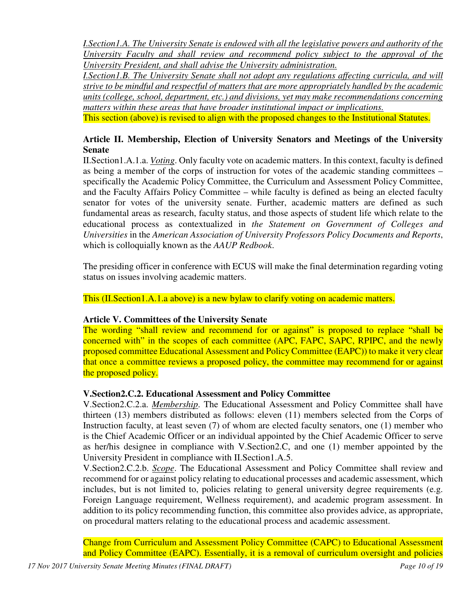*I.Section1.A. The University Senate is endowed with all the legislative powers and authority of the University Faculty and shall review and recommend policy subject to the approval of the University President, and shall advise the University administration.* 

*I.Section1.B. The University Senate shall not adopt any regulations affecting curricula, and will strive to be mindful and respectful of matters that are more appropriately handled by the academic units (college, school, department, etc.) and divisions, yet may make recommendations concerning matters within these areas that have broader institutional impact or implications.* 

This section (above) is revised to align with the proposed changes to the Institutional Statutes.

# **Article II. Membership, Election of University Senators and Meetings of the University Senate**

II.Section1.A.1.a. *Voting*. Only faculty vote on academic matters. In this context, faculty is defined as being a member of the corps of instruction for votes of the academic standing committees – specifically the Academic Policy Committee, the Curriculum and Assessment Policy Committee, and the Faculty Affairs Policy Committee – while faculty is defined as being an elected faculty senator for votes of the university senate. Further, academic matters are defined as such fundamental areas as research, faculty status, and those aspects of student life which relate to the educational process as contextualized in *the Statement on Government of Colleges and Universities* in the *American Association of University Professors Policy Documents and Reports*, which is colloquially known as the *AAUP Redbook*.

The presiding officer in conference with ECUS will make the final determination regarding voting status on issues involving academic matters.

This (II.Section1.A.1.a above) is a new bylaw to clarify voting on academic matters.

### **Article V. Committees of the University Senate**

The wording "shall review and recommend for or against" is proposed to replace "shall be concerned with" in the scopes of each committee (APC, FAPC, SAPC, RPIPC, and the newly proposed committee Educational Assessment and Policy Committee (EAPC)) to make it very clear that once a committee reviews a proposed policy, the committee may recommend for or against the proposed policy.

### **V.Section2.C.2. Educational Assessment and Policy Committee**

V.Section2.C.2.a. *Membership*. The Educational Assessment and Policy Committee shall have thirteen (13) members distributed as follows: eleven (11) members selected from the Corps of Instruction faculty, at least seven (7) of whom are elected faculty senators, one (1) member who is the Chief Academic Officer or an individual appointed by the Chief Academic Officer to serve as her/his designee in compliance with V.Section2.C, and one (1) member appointed by the University President in compliance with II.Section1.A.5.

V.Section2.C.2.b. *Scope*. The Educational Assessment and Policy Committee shall review and recommend for or against policy relating to educational processes and academic assessment, which includes, but is not limited to, policies relating to general university degree requirements (e.g. Foreign Language requirement, Wellness requirement), and academic program assessment. In addition to its policy recommending function, this committee also provides advice, as appropriate, on procedural matters relating to the educational process and academic assessment.

Change from Curriculum and Assessment Policy Committee (CAPC) to Educational Assessment and Policy Committee (EAPC). Essentially, it is a removal of curriculum oversight and policies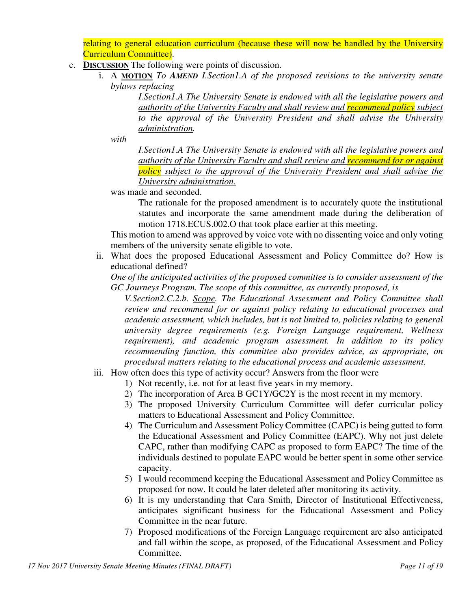relating to general education curriculum (because these will now be handled by the University Curriculum Committee).

- c. **DISCUSSION** The following were points of discussion.
	- i. A **MOTION** *To AMEND I.Section1.A of the proposed revisions to the university senate bylaws replacing*

*I.Section1.A The University Senate is endowed with all the legislative powers and authority of the University Faculty and shall review and recommend policy subject to the approval of the University President and shall advise the University administration.* 

*with* 

*I.Section1.A The University Senate is endowed with all the legislative powers and authority of the University Faculty and shall review and recommend for or against policy subject to the approval of the University President and shall advise the University administration*.

was made and seconded.

The rationale for the proposed amendment is to accurately quote the institutional statutes and incorporate the same amendment made during the deliberation of motion 1718.ECUS.002.O that took place earlier at this meeting.

This motion to amend was approved by voice vote with no dissenting voice and only voting members of the university senate eligible to vote.

ii. What does the proposed Educational Assessment and Policy Committee do? How is educational defined?

*One of the anticipated activities of the proposed committee is to consider assessment of the GC Journeys Program. The scope of this committee, as currently proposed, is* 

*V.Section2.C.2.b. Scope. The Educational Assessment and Policy Committee shall review and recommend for or against policy relating to educational processes and academic assessment, which includes, but is not limited to, policies relating to general university degree requirements (e.g. Foreign Language requirement, Wellness requirement), and academic program assessment. In addition to its policy recommending function, this committee also provides advice, as appropriate, on procedural matters relating to the educational process and academic assessment.* 

- iii. How often does this type of activity occur? Answers from the floor were
	- 1) Not recently, i.e. not for at least five years in my memory.
	- 2) The incorporation of Area B GC1Y/GC2Y is the most recent in my memory.
	- 3) The proposed University Curriculum Committee will defer curricular policy matters to Educational Assessment and Policy Committee.
	- 4) The Curriculum and Assessment Policy Committee (CAPC) is being gutted to form the Educational Assessment and Policy Committee (EAPC). Why not just delete CAPC, rather than modifying CAPC as proposed to form EAPC? The time of the individuals destined to populate EAPC would be better spent in some other service capacity.
	- 5) I would recommend keeping the Educational Assessment and Policy Committee as proposed for now. It could be later deleted after monitoring its activity.
	- 6) It is my understanding that Cara Smith, Director of Institutional Effectiveness, anticipates significant business for the Educational Assessment and Policy Committee in the near future.
	- 7) Proposed modifications of the Foreign Language requirement are also anticipated and fall within the scope, as proposed, of the Educational Assessment and Policy Committee.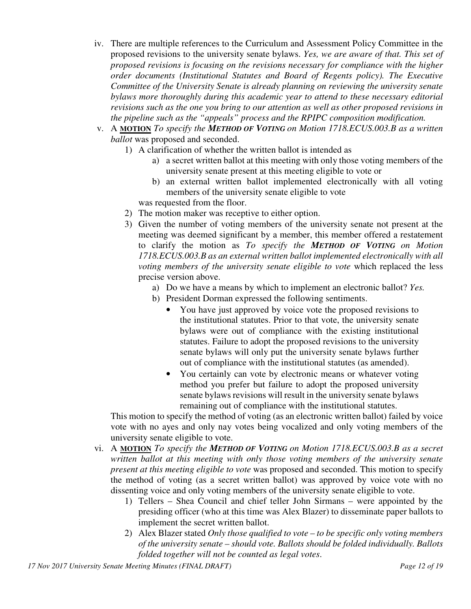- iv. There are multiple references to the Curriculum and Assessment Policy Committee in the proposed revisions to the university senate bylaws. *Yes, we are aware of that. This set of proposed revisions is focusing on the revisions necessary for compliance with the higher order documents (Institutional Statutes and Board of Regents policy). The Executive Committee of the University Senate is already planning on reviewing the university senate bylaws more thoroughly during this academic year to attend to these necessary editorial revisions such as the one you bring to our attention as well as other proposed revisions in the pipeline such as the "appeals" process and the RPIPC composition modification.*
- v. A **MOTION** *To specify the METHOD OF VOTING on Motion 1718.ECUS.003.B as a written ballot* was proposed and seconded.
	- 1) A clarification of whether the written ballot is intended as
		- a) a secret written ballot at this meeting with only those voting members of the university senate present at this meeting eligible to vote or
			- b) an external written ballot implemented electronically with all voting members of the university senate eligible to vote

was requested from the floor.

- 2) The motion maker was receptive to either option.
- 3) Given the number of voting members of the university senate not present at the meeting was deemed significant by a member, this member offered a restatement to clarify the motion as *To specify the METHOD OF VOTING on Motion 1718.ECUS.003.B as an external written ballot implemented electronically with all voting members of the university senate eligible to vote* which replaced the less precise version above.
	- a) Do we have a means by which to implement an electronic ballot? *Yes.*
	- b) President Dorman expressed the following sentiments.
		- You have just approved by voice vote the proposed revisions to the institutional statutes. Prior to that vote, the university senate bylaws were out of compliance with the existing institutional statutes. Failure to adopt the proposed revisions to the university senate bylaws will only put the university senate bylaws further out of compliance with the institutional statutes (as amended).
		- You certainly can vote by electronic means or whatever voting method you prefer but failure to adopt the proposed university senate bylaws revisions will result in the university senate bylaws remaining out of compliance with the institutional statutes.

This motion to specify the method of voting (as an electronic written ballot) failed by voice vote with no ayes and only nay votes being vocalized and only voting members of the university senate eligible to vote.

- vi. A **MOTION** *To specify the METHOD OF VOTING on Motion 1718.ECUS.003.B as a secret written ballot at this meeting with only those voting members of the university senate present at this meeting eligible to vote* was proposed and seconded. This motion to specify the method of voting (as a secret written ballot) was approved by voice vote with no dissenting voice and only voting members of the university senate eligible to vote.
	- 1) Tellers Shea Council and chief teller John Sirmans were appointed by the presiding officer (who at this time was Alex Blazer) to disseminate paper ballots to implement the secret written ballot.
	- 2) Alex Blazer stated *Only those qualified to vote to be specific only voting members of the university senate – should vote. Ballots should be folded individually. Ballots folded together will not be counted as legal votes*.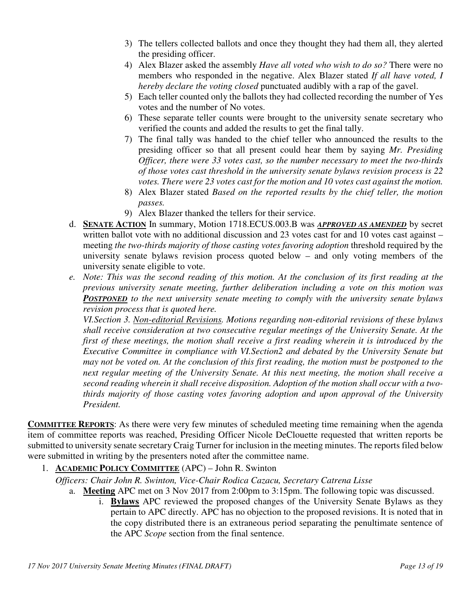- 3) The tellers collected ballots and once they thought they had them all, they alerted the presiding officer.
- 4) Alex Blazer asked the assembly *Have all voted who wish to do so?* There were no members who responded in the negative. Alex Blazer stated *If all have voted, I hereby declare the voting closed* punctuated audibly with a rap of the gavel.
- 5) Each teller counted only the ballots they had collected recording the number of Yes votes and the number of No votes.
- 6) These separate teller counts were brought to the university senate secretary who verified the counts and added the results to get the final tally.
- 7) The final tally was handed to the chief teller who announced the results to the presiding officer so that all present could hear them by saying *Mr. Presiding Officer, there were 33 votes cast, so the number necessary to meet the two-thirds of those votes cast threshold in the university senate bylaws revision process is 22 votes. There were 23 votes cast for the motion and 10 votes cast against the motion.*
- 8) Alex Blazer stated *Based on the reported results by the chief teller, the motion passes.*
- 9) Alex Blazer thanked the tellers for their service.
- d. **SENATE ACTION** In summary, Motion 1718.ECUS.003.B was *APPROVED AS AMENDED* by secret written ballot vote with no additional discussion and 23 votes cast for and 10 votes cast against – meeting *the two-thirds majority of those casting votes favoring adoption* threshold required by the university senate bylaws revision process quoted below – and only voting members of the university senate eligible to vote.
- *e. Note: This was the second reading of this motion. At the conclusion of its first reading at the previous university senate meeting, further deliberation including a vote on this motion was POSTPONED to the next university senate meeting to comply with the university senate bylaws revision process that is quoted here.*

*VI.Section 3. Non-editorial Revisions. Motions regarding non-editorial revisions of these bylaws shall receive consideration at two consecutive regular meetings of the University Senate. At the first of these meetings, the motion shall receive a first reading wherein it is introduced by the Executive Committee in compliance with VI.Section2 and debated by the University Senate but may not be voted on. At the conclusion of this first reading, the motion must be postponed to the next regular meeting of the University Senate. At this next meeting, the motion shall receive a second reading wherein it shall receive disposition. Adoption of the motion shall occur with a twothirds majority of those casting votes favoring adoption and upon approval of the University President.* 

**COMMITTEE REPORTS**: As there were very few minutes of scheduled meeting time remaining when the agenda item of committee reports was reached, Presiding Officer Nicole DeClouette requested that written reports be submitted to university senate secretary Craig Turner for inclusion in the meeting minutes. The reports filed below were submitted in writing by the presenters noted after the committee name.

- 1. **ACADEMIC POLICY COMMITTEE** (APC) John R. Swinton
	- *Officers: Chair John R. Swinton, Vice-Chair Rodica Cazacu, Secretary Catrena Lisse*
		- a. **Meeting** APC met on 3 Nov 2017 from 2:00pm to 3:15pm. The following topic was discussed.
			- i. **Bylaws** APC reviewed the proposed changes of the University Senate Bylaws as they pertain to APC directly. APC has no objection to the proposed revisions. It is noted that in the copy distributed there is an extraneous period separating the penultimate sentence of the APC *Scope* section from the final sentence.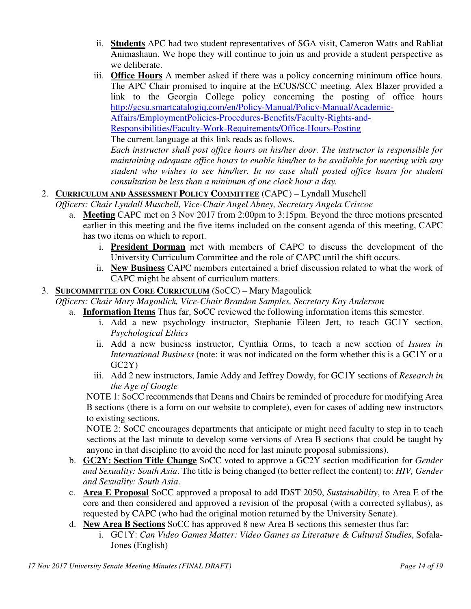- ii. **Students** APC had two student representatives of SGA visit, Cameron Watts and Rahliat Animashaun. We hope they will continue to join us and provide a student perspective as we deliberate.
- iii. **Office Hours** A member asked if there was a policy concerning minimum office hours. The APC Chair promised to inquire at the ECUS/SCC meeting. Alex Blazer provided a link to the Georgia College policy concerning the posting of office hours http://gcsu.smartcatalogiq.com/en/Policy-Manual/Policy-Manual/Academic-Affairs/EmploymentPolicies-Procedures-Benefits/Faculty-Rights-and-Responsibilities/Faculty-Work-Requirements/Office-Hours-Posting The current language at this link reads as follows. *Each instructor shall post office hours on his/her door. The instructor is responsible for maintaining adequate office hours to enable him/her to be available for meeting with any student who wishes to see him/her. In no case shall posted office hours for student consultation be less than a minimum of one clock hour a day.*
- 2. **CURRICULUM AND ASSESSMENT POLICY COMMITTEE** (CAPC) Lyndall Muschell

*Officers: Chair Lyndall Muschell, Vice-Chair Angel Abney, Secretary Angela Criscoe* 

- a. **Meeting** CAPC met on 3 Nov 2017 from 2:00pm to 3:15pm. Beyond the three motions presented earlier in this meeting and the five items included on the consent agenda of this meeting, CAPC has two items on which to report.
	- i. **President Dorman** met with members of CAPC to discuss the development of the University Curriculum Committee and the role of CAPC until the shift occurs.
	- ii. **New Business** CAPC members entertained a brief discussion related to what the work of CAPC might be absent of curriculum matters.

# 3. **SUBCOMMITTEE ON CORE CURRICULUM** (SoCC) – Mary Magoulick

- *Officers: Chair Mary Magoulick, Vice-Chair Brandon Samples, Secretary Kay Anderson* 
	- a. **Information Items** Thus far, SoCC reviewed the following information items this semester.
		- i. Add a new psychology instructor, Stephanie Eileen Jett, to teach GC1Y section, *Psychological Ethics*
		- ii. Add a new business instructor, Cynthia Orms, to teach a new section of *Issues in International Business* (note: it was not indicated on the form whether this is a GC1Y or a GC2Y)
		- iii. Add 2 new instructors, Jamie Addy and Jeffrey Dowdy, for GC1Y sections of *Research in the Age of Google*

NOTE 1: SoCC recommends that Deans and Chairs be reminded of procedure for modifying Area B sections (there is a form on our website to complete), even for cases of adding new instructors to existing sections.

NOTE 2: SoCC encourages departments that anticipate or might need faculty to step in to teach sections at the last minute to develop some versions of Area B sections that could be taught by anyone in that discipline (to avoid the need for last minute proposal submissions).

- b. **GC2Y: Section Title Change** SoCC voted to approve a GC2Y section modification for *Gender and Sexuality: South Asia*. The title is being changed (to better reflect the content) to: *HIV, Gender and Sexuality: South Asia*.
- c. **Area E Proposal** SoCC approved a proposal to add IDST 2050, *Sustainability*, to Area E of the core and then considered and approved a revision of the proposal (with a corrected syllabus), as requested by CAPC (who had the original motion returned by the University Senate).
- d. **New Area B Sections** SoCC has approved 8 new Area B sections this semester thus far:
	- i. GC1Y: *Can Video Games Matter: Video Games as Literature & Cultural Studies*, Sofala-Jones (English)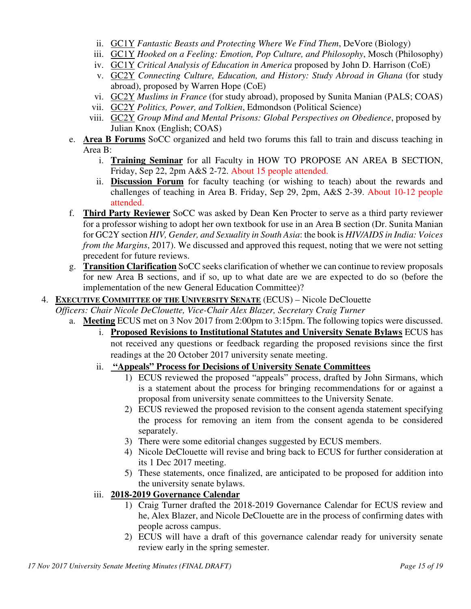- ii. GC1Y *Fantastic Beasts and Protecting Where We Find Them*, DeVore (Biology)
- iii. GC1Y *Hooked on a Feeling: Emotion, Pop Culture, and Philosophy*, Mosch (Philosophy)
- iv. GC1Y *Critical Analysis of Education in America* proposed by John D. Harrison (CoE)
- v. GC2Y *Connecting Culture, Education, and History: Study Abroad in Ghana* (for study abroad), proposed by Warren Hope (CoE)
- vi. GC2Y *Muslims in France* (for study abroad), proposed by Sunita Manian (PALS; COAS)
- vii. GC2Y *Politics, Power, and Tolkien*, Edmondson (Political Science)
- viii. GC2Y *Group Mind and Mental Prisons: Global Perspectives on Obedience*, proposed by Julian Knox (English; COAS)
- e. **Area B Forums** SoCC organized and held two forums this fall to train and discuss teaching in Area B:
	- i. **Training Seminar** for all Faculty in HOW TO PROPOSE AN AREA B SECTION, Friday, Sep 22, 2pm A&S 2-72. About 15 people attended.
	- ii. **Discussion Forum** for faculty teaching (or wishing to teach) about the rewards and challenges of teaching in Area B. Friday, Sep 29, 2pm, A&S 2-39. About 10-12 people attended.
- f. **Third Party Reviewer** SoCC was asked by Dean Ken Procter to serve as a third party reviewer for a professor wishing to adopt her own textbook for use in an Area B section (Dr. Sunita Manian for GC2Y section *HIV, Gender, and Sexuality in South Asia*: the book is *HIV/AIDS in India: Voices from the Margins*, 2017). We discussed and approved this request, noting that we were not setting precedent for future reviews.
- g. **Transition Clarification** SoCC seeks clarification of whether we can continue to review proposals for new Area B sections, and if so, up to what date are we are expected to do so (before the implementation of the new General Education Committee)?

#### 4. **EXECUTIVE COMMITTEE OF THE UNIVERSITY SENATE** (ECUS) – Nicole DeClouette

*Officers: Chair Nicole DeClouette, Vice-Chair Alex Blazer, Secretary Craig Turner*

- a. **Meeting** ECUS met on 3 Nov 2017 from 2:00pm to 3:15pm. The following topics were discussed.
	- i. **Proposed Revisions to Institutional Statutes and University Senate Bylaws** ECUS has not received any questions or feedback regarding the proposed revisions since the first readings at the 20 October 2017 university senate meeting.
	- ii. **"Appeals" Process for Decisions of University Senate Committees**
		- 1) ECUS reviewed the proposed "appeals" process, drafted by John Sirmans, which is a statement about the process for bringing recommendations for or against a proposal from university senate committees to the University Senate.
		- 2) ECUS reviewed the proposed revision to the consent agenda statement specifying the process for removing an item from the consent agenda to be considered separately.
		- 3) There were some editorial changes suggested by ECUS members.
		- 4) Nicole DeClouette will revise and bring back to ECUS for further consideration at its 1 Dec 2017 meeting.
		- 5) These statements, once finalized, are anticipated to be proposed for addition into the university senate bylaws.
	- iii. **2018-2019 Governance Calendar**
		- 1) Craig Turner drafted the 2018-2019 Governance Calendar for ECUS review and he, Alex Blazer, and Nicole DeClouette are in the process of confirming dates with people across campus.
		- 2) ECUS will have a draft of this governance calendar ready for university senate review early in the spring semester.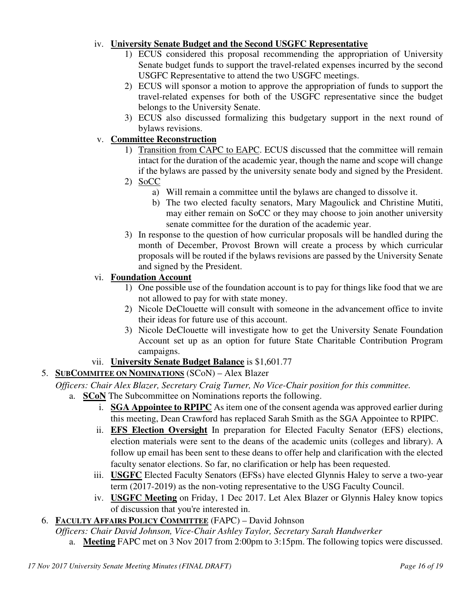### iv. **University Senate Budget and the Second USGFC Representative**

- 1) ECUS considered this proposal recommending the appropriation of University Senate budget funds to support the travel-related expenses incurred by the second USGFC Representative to attend the two USGFC meetings.
- 2) ECUS will sponsor a motion to approve the appropriation of funds to support the travel-related expenses for both of the USGFC representative since the budget belongs to the University Senate.
- 3) ECUS also discussed formalizing this budgetary support in the next round of bylaws revisions.

# v. **Committee Reconstruction**

- 1) Transition from CAPC to EAPC. ECUS discussed that the committee will remain intact for the duration of the academic year, though the name and scope will change if the bylaws are passed by the university senate body and signed by the President.
- 2) SoCC
	- a) Will remain a committee until the bylaws are changed to dissolve it.
	- b) The two elected faculty senators, Mary Magoulick and Christine Mutiti, may either remain on SoCC or they may choose to join another university senate committee for the duration of the academic year.
- 3) In response to the question of how curricular proposals will be handled during the month of December, Provost Brown will create a process by which curricular proposals will be routed if the bylaws revisions are passed by the University Senate and signed by the President.

### vi. **Foundation Account**

- 1) One possible use of the foundation account is to pay for things like food that we are not allowed to pay for with state money.
- 2) Nicole DeClouette will consult with someone in the advancement office to invite their ideas for future use of this account.
- 3) Nicole DeClouette will investigate how to get the University Senate Foundation Account set up as an option for future State Charitable Contribution Program campaigns.
- vii. **University Senate Budget Balance** is \$1,601.77

# 5. **SUBCOMMITEE ON NOMINATIONS** (SCoN) – Alex Blazer

*Officers: Chair Alex Blazer, Secretary Craig Turner, No Vice-Chair position for this committee.*

- a. **SCoN** The Subcommittee on Nominations reports the following.
	- i. **SGA Appointee to RPIPC** As item one of the consent agenda was approved earlier during this meeting, Dean Crawford has replaced Sarah Smith as the SGA Appointee to RPIPC.
	- ii. **EFS Election Oversight** In preparation for Elected Faculty Senator (EFS) elections, election materials were sent to the deans of the academic units (colleges and library). A follow up email has been sent to these deans to offer help and clarification with the elected faculty senator elections. So far, no clarification or help has been requested.
	- iii. **USGFC** Elected Faculty Senators (EFSs) have elected Glynnis Haley to serve a two-year term (2017-2019) as the non-voting representative to the USG Faculty Council.
	- iv. **USGFC Meeting** on Friday, 1 Dec 2017. Let Alex Blazer or Glynnis Haley know topics of discussion that you're interested in.
- 6. **FACULTY AFFAIRS POLICY COMMITTEE** (FAPC) David Johnson
	- *Officers: Chair David Johnson, Vice-Chair Ashley Taylor, Secretary Sarah Handwerker*
		- a. **Meeting** FAPC met on 3 Nov 2017 from 2:00pm to 3:15pm. The following topics were discussed.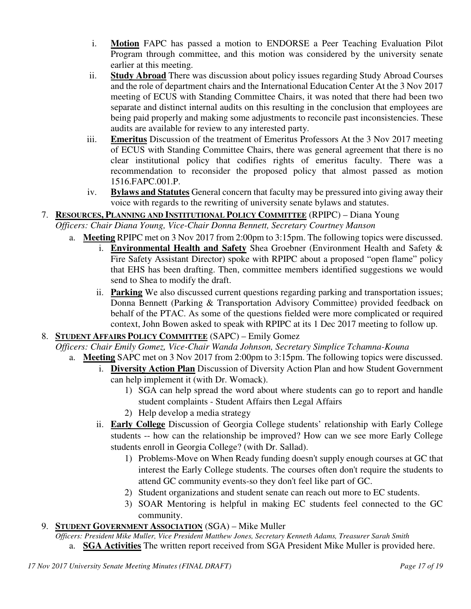- i. **Motion** FAPC has passed a motion to ENDORSE a Peer Teaching Evaluation Pilot Program through committee, and this motion was considered by the university senate earlier at this meeting.
- ii. **Study Abroad** There was discussion about policy issues regarding Study Abroad Courses and the role of department chairs and the International Education Center At the 3 Nov 2017 meeting of ECUS with Standing Committee Chairs, it was noted that there had been two separate and distinct internal audits on this resulting in the conclusion that employees are being paid properly and making some adjustments to reconcile past inconsistencies. These audits are available for review to any interested party.
- iii. **Emeritus** Discussion of the treatment of Emeritus Professors At the 3 Nov 2017 meeting of ECUS with Standing Committee Chairs, there was general agreement that there is no clear institutional policy that codifies rights of emeritus faculty. There was a recommendation to reconsider the proposed policy that almost passed as motion 1516.FAPC.001.P.
- iv. **Bylaws and Statutes** General concern that faculty may be pressured into giving away their voice with regards to the rewriting of university senate bylaws and statutes.
- 7. **RESOURCES, PLANNING AND INSTITUTIONAL POLICY COMMITTEE** (RPIPC) Diana Young *Officers: Chair Diana Young, Vice-Chair Donna Bennett, Secretary Courtney Manson* 
	- a. **Meeting** RPIPC met on 3 Nov 2017 from 2:00pm to 3:15pm. The following topics were discussed.
		- i. **Environmental Health and Safety** Shea Groebner (Environment Health and Safety & Fire Safety Assistant Director) spoke with RPIPC about a proposed "open flame" policy that EHS has been drafting. Then, committee members identified suggestions we would send to Shea to modify the draft.
		- ii. **Parking** We also discussed current questions regarding parking and transportation issues; Donna Bennett (Parking & Transportation Advisory Committee) provided feedback on behalf of the PTAC. As some of the questions fielded were more complicated or required context, John Bowen asked to speak with RPIPC at its 1 Dec 2017 meeting to follow up.
- 8. **STUDENT AFFAIRS POLICY COMMITTEE** (SAPC) Emily Gomez

*Officers: Chair Emily Gomez, Vice-Chair Wanda Johnson, Secretary Simplice Tchamna-Kouna*

- a. **Meeting** SAPC met on 3 Nov 2017 from 2:00pm to 3:15pm. The following topics were discussed.
	- i. **Diversity Action Plan** Discussion of Diversity Action Plan and how Student Government can help implement it (with Dr. Womack).
		- 1) SGA can help spread the word about where students can go to report and handle student complaints - Student Affairs then Legal Affairs
		- 2) Help develop a media strategy
	- ii. **Early College** Discussion of Georgia College students' relationship with Early College students -- how can the relationship be improved? How can we see more Early College students enroll in Georgia College? (with Dr. Sallad).
		- 1) Problems-Move on When Ready funding doesn't supply enough courses at GC that interest the Early College students. The courses often don't require the students to attend GC community events-so they don't feel like part of GC.
		- 2) Student organizations and student senate can reach out more to EC students.
		- 3) SOAR Mentoring is helpful in making EC students feel connected to the GC community.

# 9. **STUDENT GOVERNMENT ASSOCIATION** (SGA) – Mike Muller

*Officers: President Mike Muller, Vice President Matthew Jones, Secretary Kenneth Adams, Treasurer Sarah Smith* a. **SGA Activities** The written report received from SGA President Mike Muller is provided here.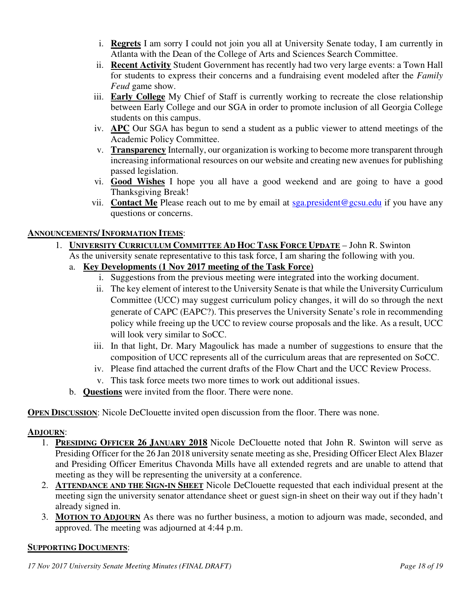- i. **Regrets** I am sorry I could not join you all at University Senate today, I am currently in Atlanta with the Dean of the College of Arts and Sciences Search Committee.
- ii. **Recent Activity** Student Government has recently had two very large events: a Town Hall for students to express their concerns and a fundraising event modeled after the *Family Feud* game show.
- iii. **Early College** My Chief of Staff is currently working to recreate the close relationship between Early College and our SGA in order to promote inclusion of all Georgia College students on this campus.
- iv. **APC** Our SGA has begun to send a student as a public viewer to attend meetings of the Academic Policy Committee.
- v. **Transparency** Internally, our organization is working to become more transparent through increasing informational resources on our website and creating new avenues for publishing passed legislation.
- vi. **Good Wishes** I hope you all have a good weekend and are going to have a good Thanksgiving Break!
- vii. **Contact Me** Please reach out to me by email at sga.president@gcsu.edu if you have any questions or concerns.

# **ANNOUNCEMENTS/ INFORMATION ITEMS**:

- 1. **UNIVERSITY CURRICULUM COMMITTEE AD HOC TASK FORCE UPDATE** John R. Swinton As the university senate representative to this task force, I am sharing the following with you.
	- a. **Key Developments (1 Nov 2017 meeting of the Task Force)**
		- i. Suggestions from the previous meeting were integrated into the working document.
		- ii. The key element of interest to the University Senate is that while the University Curriculum Committee (UCC) may suggest curriculum policy changes, it will do so through the next generate of CAPC (EAPC?). This preserves the University Senate's role in recommending policy while freeing up the UCC to review course proposals and the like. As a result, UCC will look very similar to SoCC.
		- iii. In that light, Dr. Mary Magoulick has made a number of suggestions to ensure that the composition of UCC represents all of the curriculum areas that are represented on SoCC.
		- iv. Please find attached the current drafts of the Flow Chart and the UCC Review Process.
		- v. This task force meets two more times to work out additional issues.
	- b. **Questions** were invited from the floor. There were none.

### **OPEN DISCUSSION:** Nicole DeClouette invited open discussion from the floor. There was none.

### **ADJOURN**:

- 1. **PRESIDING OFFICER 26 JANUARY 2018** Nicole DeClouette noted that John R. Swinton will serve as Presiding Officer for the 26 Jan 2018 university senate meeting as she, Presiding Officer Elect Alex Blazer and Presiding Officer Emeritus Chavonda Mills have all extended regrets and are unable to attend that meeting as they will be representing the university at a conference.
- 2. **ATTENDANCE AND THE SIGN-IN SHEET** Nicole DeClouette requested that each individual present at the meeting sign the university senator attendance sheet or guest sign-in sheet on their way out if they hadn't already signed in.
- 3. **MOTION TO ADJOURN** As there was no further business, a motion to adjourn was made, seconded, and approved. The meeting was adjourned at 4:44 p.m.

### **SUPPORTING DOCUMENTS**: